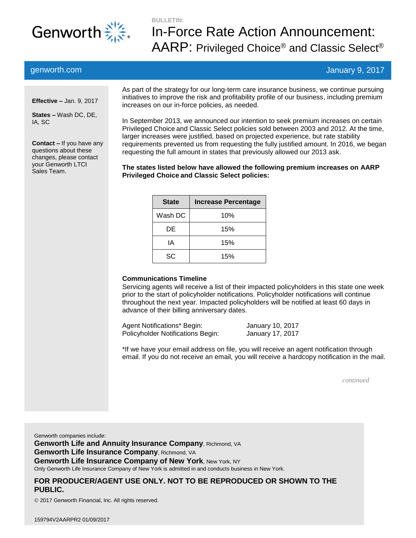

# **BULLETIN:** In-Force Rate Action Announcement:  ${\sf AARP:}$  Privileged Choice® and Classic Select®

## genworth.com January 9, 2017

**Effective –** Jan. 9, 2017

**States –** Wash DC, DE, IA, SC

**Contact –** If you have any questions about these changes, please contact your Genworth LTCI Sales Team.

As part of the strategy for our long-term care insurance business, we continue pursuing initiatives to improve the risk and profitability profile of our business, including premium increases on our in-force policies, as needed.

In September 2013, we announced our intention to seek premium increases on certain Privileged Choice and Classic Select policies sold between 2003 and 2012. At the time, larger increases were justified, based on projected experience, but rate stability requirements prevented us from requesting the fully justified amount. In 2016, we began requesting the full amount in states that previously allowed our 2013 ask.

**The states listed below have allowed the following premium increases on AARP Privileged Choice and Classic Select policies:**

| <b>State</b> | <b>Increase Percentage</b> |
|--------------|----------------------------|
| Wash DC      | 10%                        |
| DE.          | 15%                        |
| IΑ           | 15%                        |
| SC           | 15%                        |

#### **Communications Timeline**

Servicing agents will receive a list of their impacted policyholders in this state one week prior to the start of policyholder notifications. Policyholder notifications will continue throughout the next year. Impacted policyholders will be notified at least 60 days in advance of their billing anniversary dates.

Agent Notifications\* Begin: January 10, 2017 Policyholder Notifications Begin: January 17, 2017

\*If we have your email address on file, you will receive an agent notification through email. If you do not receive an email, you will receive a hardcopy notification in the mail.

*continued*

Genworth companies include: **Genworth Life and Annuity Insurance Company**, Richmond, VA **Genworth Life Insurance Company**, Richmond, VA **Genworth Life Insurance Company of New York, New York, NY** Only Genworth Life Insurance Company of New York is admitted in and conducts business in New York.

### **FOR PRODUCER/AGENT USE ONLY. NOT TO BE REPRODUCED OR SHOWN TO THE PUBLIC.**

2017 Genworth Financial, Inc. All rights reserved.